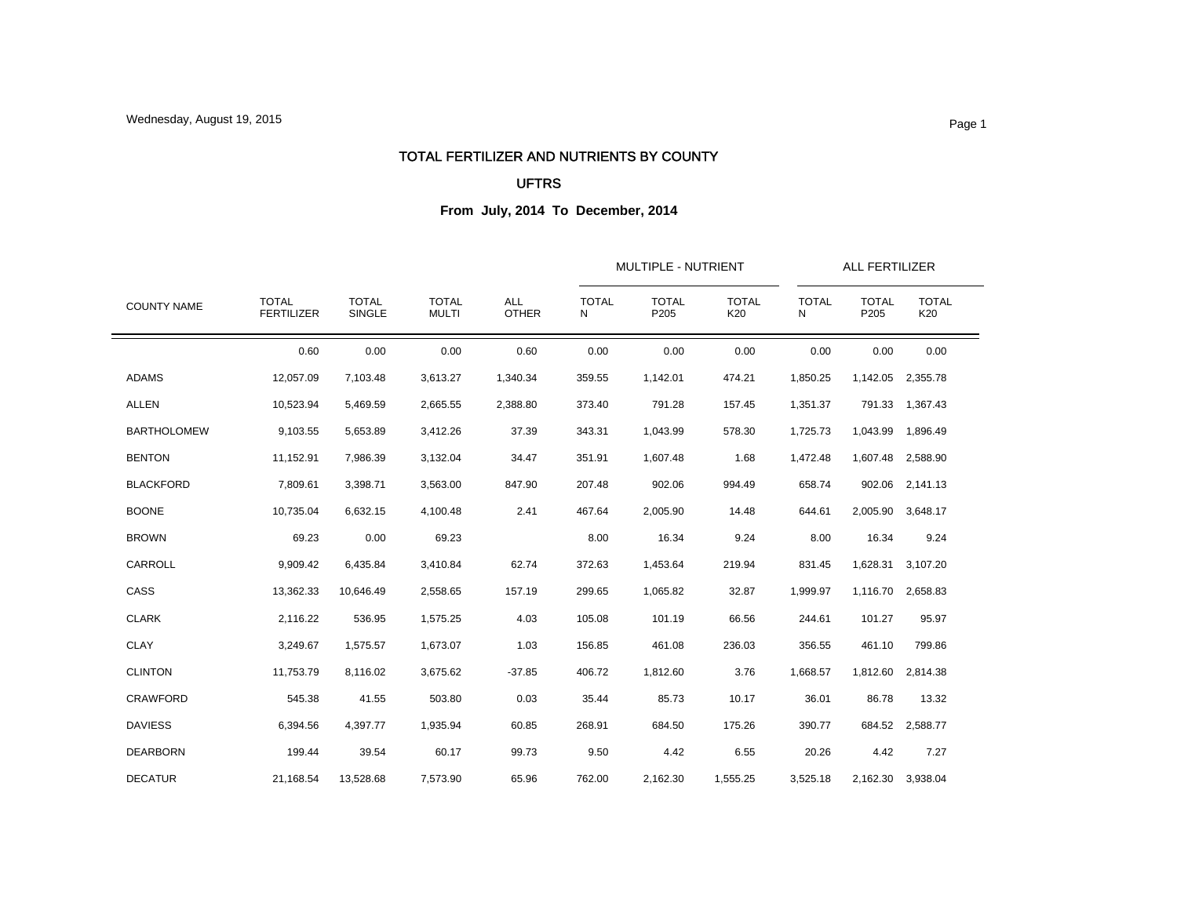#### TOTAL FERTILIZER AND NUTRIENTS BY COUNTY

### UFTRS

| <b>COUNTY NAME</b> |                                   |                        |                              | <b>ALL</b><br><b>OTHER</b> |                   | MULTIPLE - NUTRIENT  |                     | ALL FERTILIZER    |                      |                     |
|--------------------|-----------------------------------|------------------------|------------------------------|----------------------------|-------------------|----------------------|---------------------|-------------------|----------------------|---------------------|
|                    | <b>TOTAL</b><br><b>FERTILIZER</b> | <b>TOTAL</b><br>SINGLE | <b>TOTAL</b><br><b>MULTI</b> |                            | <b>TOTAL</b><br>N | <b>TOTAL</b><br>P205 | <b>TOTAL</b><br>K20 | <b>TOTAL</b><br>N | <b>TOTAL</b><br>P205 | <b>TOTAL</b><br>K20 |
|                    | 0.60                              | 0.00                   | 0.00                         | 0.60                       | 0.00              | 0.00                 | 0.00                | 0.00              | 0.00                 | 0.00                |
| <b>ADAMS</b>       | 12,057.09                         | 7,103.48               | 3,613.27                     | 1,340.34                   | 359.55            | 1,142.01             | 474.21              | 1,850.25          | 1,142.05             | 2,355.78            |
| <b>ALLEN</b>       | 10,523.94                         | 5,469.59               | 2,665.55                     | 2,388.80                   | 373.40            | 791.28               | 157.45              | 1,351.37          |                      | 791.33 1,367.43     |
| <b>BARTHOLOMEW</b> | 9,103.55                          | 5,653.89               | 3,412.26                     | 37.39                      | 343.31            | 1,043.99             | 578.30              | 1,725.73          | 1,043.99             | 1,896.49            |
| <b>BENTON</b>      | 11,152.91                         | 7,986.39               | 3,132.04                     | 34.47                      | 351.91            | 1,607.48             | 1.68                | 1,472.48          | 1,607.48             | 2,588.90            |
| <b>BLACKFORD</b>   | 7,809.61                          | 3,398.71               | 3,563.00                     | 847.90                     | 207.48            | 902.06               | 994.49              | 658.74            | 902.06               | 2,141.13            |
| <b>BOONE</b>       | 10,735.04                         | 6,632.15               | 4,100.48                     | 2.41                       | 467.64            | 2,005.90             | 14.48               | 644.61            | 2,005.90             | 3,648.17            |
| <b>BROWN</b>       | 69.23                             | 0.00                   | 69.23                        |                            | 8.00              | 16.34                | 9.24                | 8.00              | 16.34                | 9.24                |
| CARROLL            | 9,909.42                          | 6,435.84               | 3,410.84                     | 62.74                      | 372.63            | 1,453.64             | 219.94              | 831.45            | 1,628.31             | 3,107.20            |
| CASS               | 13,362.33                         | 10,646.49              | 2,558.65                     | 157.19                     | 299.65            | 1,065.82             | 32.87               | 1,999.97          | 1,116.70             | 2,658.83            |
| <b>CLARK</b>       | 2,116.22                          | 536.95                 | 1,575.25                     | 4.03                       | 105.08            | 101.19               | 66.56               | 244.61            | 101.27               | 95.97               |
| <b>CLAY</b>        | 3,249.67                          | 1,575.57               | 1,673.07                     | 1.03                       | 156.85            | 461.08               | 236.03              | 356.55            | 461.10               | 799.86              |
| <b>CLINTON</b>     | 11,753.79                         | 8,116.02               | 3,675.62                     | $-37.85$                   | 406.72            | 1,812.60             | 3.76                | 1,668.57          | 1,812.60             | 2,814.38            |
| <b>CRAWFORD</b>    | 545.38                            | 41.55                  | 503.80                       | 0.03                       | 35.44             | 85.73                | 10.17               | 36.01             | 86.78                | 13.32               |
| <b>DAVIESS</b>     | 6,394.56                          | 4,397.77               | 1,935.94                     | 60.85                      | 268.91            | 684.50               | 175.26              | 390.77            |                      | 684.52 2,588.77     |
| <b>DEARBORN</b>    | 199.44                            | 39.54                  | 60.17                        | 99.73                      | 9.50              | 4.42                 | 6.55                | 20.26             | 4.42                 | 7.27                |
| <b>DECATUR</b>     | 21.168.54                         | 13,528.68              | 7,573.90                     | 65.96                      | 762.00            | 2.162.30             | 1,555.25            | 3,525.18          |                      | 2,162.30 3,938.04   |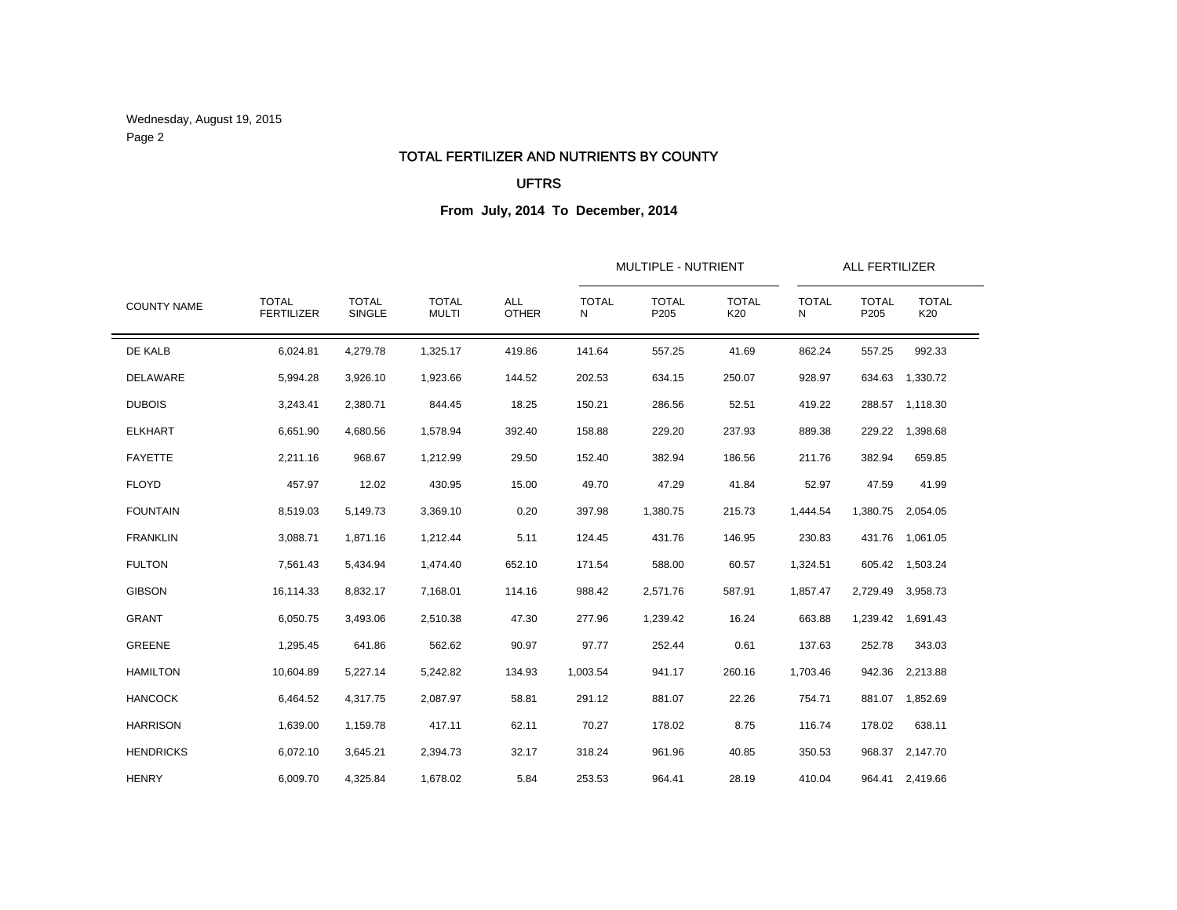Wednesday, August 19, 2015 Page 2

#### TOTAL FERTILIZER AND NUTRIENTS BY COUNTY

### UFTRS

|                    |                                   |                        |                              | <b>ALL</b><br><b>OTHER</b> | <b>MULTIPLE - NUTRIENT</b> | ALL FERTILIZER       |                     |                   |                      |                     |  |
|--------------------|-----------------------------------|------------------------|------------------------------|----------------------------|----------------------------|----------------------|---------------------|-------------------|----------------------|---------------------|--|
| <b>COUNTY NAME</b> | <b>TOTAL</b><br><b>FERTILIZER</b> | <b>TOTAL</b><br>SINGLE | <b>TOTAL</b><br><b>MULTI</b> |                            | <b>TOTAL</b><br>N          | <b>TOTAL</b><br>P205 | <b>TOTAL</b><br>K20 | <b>TOTAL</b><br>N | <b>TOTAL</b><br>P205 | <b>TOTAL</b><br>K20 |  |
| DE KALB            | 6,024.81                          | 4,279.78               | 1,325.17                     | 419.86                     | 141.64                     | 557.25               | 41.69               | 862.24            | 557.25               | 992.33              |  |
| <b>DELAWARE</b>    | 5,994.28                          | 3,926.10               | 1,923.66                     | 144.52                     | 202.53                     | 634.15               | 250.07              | 928.97            | 634.63               | 1,330.72            |  |
| <b>DUBOIS</b>      | 3,243.41                          | 2,380.71               | 844.45                       | 18.25                      | 150.21                     | 286.56               | 52.51               | 419.22            | 288.57               | 1,118.30            |  |
| <b>ELKHART</b>     | 6,651.90                          | 4,680.56               | 1,578.94                     | 392.40                     | 158.88                     | 229.20               | 237.93              | 889.38            | 229.22               | 1,398.68            |  |
| <b>FAYETTE</b>     | 2,211.16                          | 968.67                 | 1,212.99                     | 29.50                      | 152.40                     | 382.94               | 186.56              | 211.76            | 382.94               | 659.85              |  |
| <b>FLOYD</b>       | 457.97                            | 12.02                  | 430.95                       | 15.00                      | 49.70                      | 47.29                | 41.84               | 52.97             | 47.59                | 41.99               |  |
| <b>FOUNTAIN</b>    | 8,519.03                          | 5,149.73               | 3,369.10                     | 0.20                       | 397.98                     | 1,380.75             | 215.73              | 1,444.54          | 1,380.75             | 2,054.05            |  |
| <b>FRANKLIN</b>    | 3,088.71                          | 1,871.16               | 1,212.44                     | 5.11                       | 124.45                     | 431.76               | 146.95              | 230.83            |                      | 431.76 1,061.05     |  |
| <b>FULTON</b>      | 7,561.43                          | 5,434.94               | 1,474.40                     | 652.10                     | 171.54                     | 588.00               | 60.57               | 1,324.51          |                      | 605.42 1,503.24     |  |
| <b>GIBSON</b>      | 16,114.33                         | 8,832.17               | 7,168.01                     | 114.16                     | 988.42                     | 2,571.76             | 587.91              | 1,857.47          | 2,729.49             | 3,958.73            |  |
| <b>GRANT</b>       | 6,050.75                          | 3,493.06               | 2,510.38                     | 47.30                      | 277.96                     | 1,239.42             | 16.24               | 663.88            | 1,239.42             | 1,691.43            |  |
| <b>GREENE</b>      | 1,295.45                          | 641.86                 | 562.62                       | 90.97                      | 97.77                      | 252.44               | 0.61                | 137.63            | 252.78               | 343.03              |  |
| <b>HAMILTON</b>    | 10,604.89                         | 5,227.14               | 5,242.82                     | 134.93                     | 1,003.54                   | 941.17               | 260.16              | 1,703.46          | 942.36               | 2,213.88            |  |
| <b>HANCOCK</b>     | 6,464.52                          | 4,317.75               | 2,087.97                     | 58.81                      | 291.12                     | 881.07               | 22.26               | 754.71            | 881.07               | 1,852.69            |  |
| <b>HARRISON</b>    | 1,639.00                          | 1,159.78               | 417.11                       | 62.11                      | 70.27                      | 178.02               | 8.75                | 116.74            | 178.02               | 638.11              |  |
| <b>HENDRICKS</b>   | 6,072.10                          | 3,645.21               | 2,394.73                     | 32.17                      | 318.24                     | 961.96               | 40.85               | 350.53            | 968.37               | 2,147.70            |  |
| <b>HENRY</b>       | 6,009.70                          | 4,325.84               | 1,678.02                     | 5.84                       | 253.53                     | 964.41               | 28.19               | 410.04            |                      | 964.41 2,419.66     |  |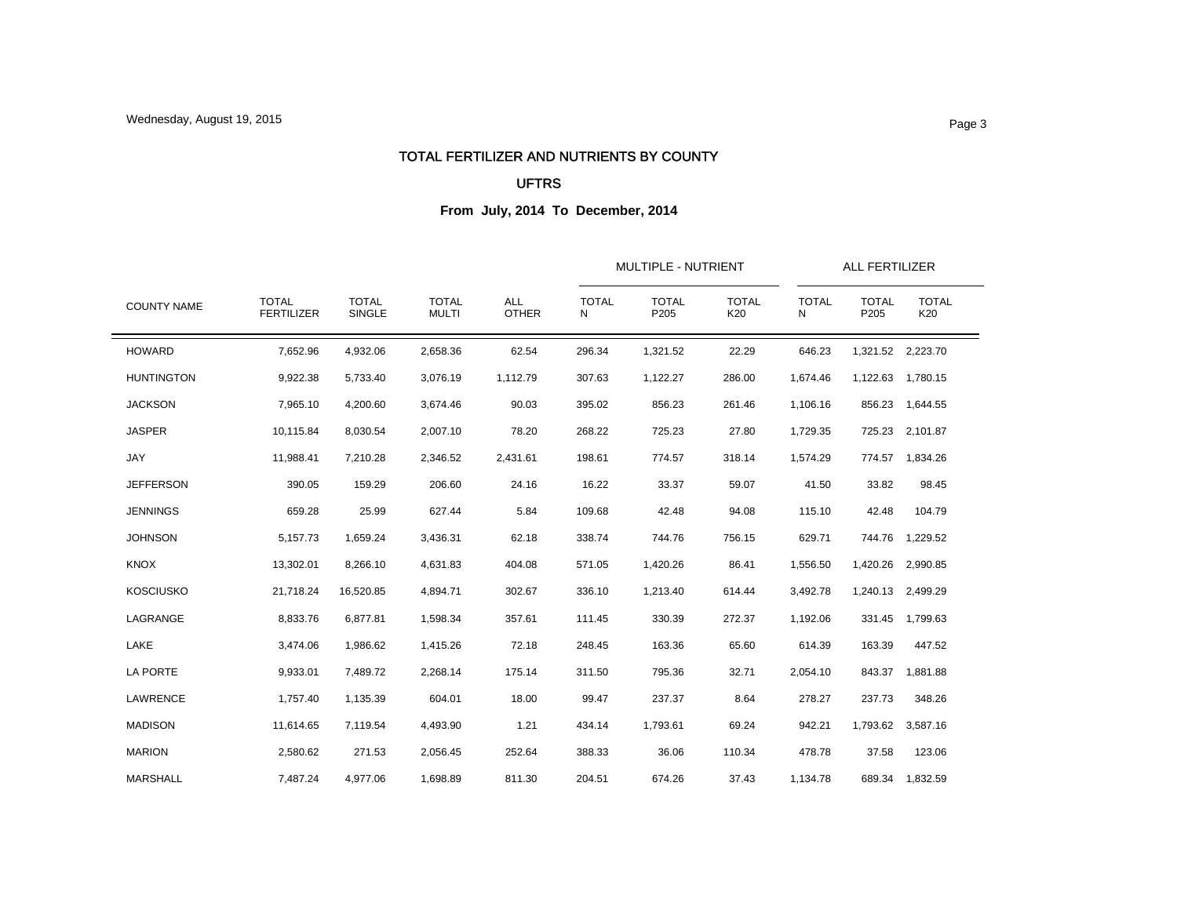#### TOTAL FERTILIZER AND NUTRIENTS BY COUNTY

#### UFTRS

| <b>COUNTY NAME</b> |                                   |                        |                              | <b>ALL</b><br><b>OTHER</b> |                   | MULTIPLE - NUTRIENT  |                     | ALL FERTILIZER    |                      |                     |  |
|--------------------|-----------------------------------|------------------------|------------------------------|----------------------------|-------------------|----------------------|---------------------|-------------------|----------------------|---------------------|--|
|                    | <b>TOTAL</b><br><b>FERTILIZER</b> | <b>TOTAL</b><br>SINGLE | <b>TOTAL</b><br><b>MULTI</b> |                            | <b>TOTAL</b><br>N | <b>TOTAL</b><br>P205 | <b>TOTAL</b><br>K20 | <b>TOTAL</b><br>N | <b>TOTAL</b><br>P205 | <b>TOTAL</b><br>K20 |  |
| <b>HOWARD</b>      | 7,652.96                          | 4,932.06               | 2,658.36                     | 62.54                      | 296.34            | 1,321.52             | 22.29               | 646.23            |                      | 1,321.52 2,223.70   |  |
| <b>HUNTINGTON</b>  | 9,922.38                          | 5,733.40               | 3,076.19                     | 1,112.79                   | 307.63            | 1,122.27             | 286.00              | 1,674.46          |                      | 1,122.63 1,780.15   |  |
| <b>JACKSON</b>     | 7,965.10                          | 4,200.60               | 3,674.46                     | 90.03                      | 395.02            | 856.23               | 261.46              | 1,106.16          | 856.23               | 1,644.55            |  |
| <b>JASPER</b>      | 10,115.84                         | 8,030.54               | 2,007.10                     | 78.20                      | 268.22            | 725.23               | 27.80               | 1,729.35          | 725.23               | 2,101.87            |  |
| JAY                | 11,988.41                         | 7,210.28               | 2,346.52                     | 2,431.61                   | 198.61            | 774.57               | 318.14              | 1,574.29          |                      | 774.57 1,834.26     |  |
| <b>JEFFERSON</b>   | 390.05                            | 159.29                 | 206.60                       | 24.16                      | 16.22             | 33.37                | 59.07               | 41.50             | 33.82                | 98.45               |  |
| <b>JENNINGS</b>    | 659.28                            | 25.99                  | 627.44                       | 5.84                       | 109.68            | 42.48                | 94.08               | 115.10            | 42.48                | 104.79              |  |
| <b>JOHNSON</b>     | 5,157.73                          | 1,659.24               | 3,436.31                     | 62.18                      | 338.74            | 744.76               | 756.15              | 629.71            |                      | 744.76 1,229.52     |  |
| <b>KNOX</b>        | 13,302.01                         | 8,266.10               | 4,631.83                     | 404.08                     | 571.05            | 1,420.26             | 86.41               | 1,556.50          |                      | 1,420.26 2,990.85   |  |
| <b>KOSCIUSKO</b>   | 21,718.24                         | 16,520.85              | 4,894.71                     | 302.67                     | 336.10            | 1,213.40             | 614.44              | 3,492.78          | 1,240.13             | 2,499.29            |  |
| LAGRANGE           | 8,833.76                          | 6,877.81               | 1,598.34                     | 357.61                     | 111.45            | 330.39               | 272.37              | 1,192.06          |                      | 331.45 1,799.63     |  |
| LAKE               | 3,474.06                          | 1,986.62               | 1,415.26                     | 72.18                      | 248.45            | 163.36               | 65.60               | 614.39            | 163.39               | 447.52              |  |
| LA PORTE           | 9,933.01                          | 7,489.72               | 2,268.14                     | 175.14                     | 311.50            | 795.36               | 32.71               | 2,054.10          | 843.37               | 1,881.88            |  |
| <b>LAWRENCE</b>    | 1,757.40                          | 1,135.39               | 604.01                       | 18.00                      | 99.47             | 237.37               | 8.64                | 278.27            | 237.73               | 348.26              |  |
| <b>MADISON</b>     | 11,614.65                         | 7,119.54               | 4,493.90                     | 1.21                       | 434.14            | 1,793.61             | 69.24               | 942.21            | 1,793.62             | 3,587.16            |  |
| <b>MARION</b>      | 2,580.62                          | 271.53                 | 2,056.45                     | 252.64                     | 388.33            | 36.06                | 110.34              | 478.78            | 37.58                | 123.06              |  |
| <b>MARSHALL</b>    | 7.487.24                          | 4.977.06               | 1.698.89                     | 811.30                     | 204.51            | 674.26               | 37.43               | 1,134.78          |                      | 689.34 1,832.59     |  |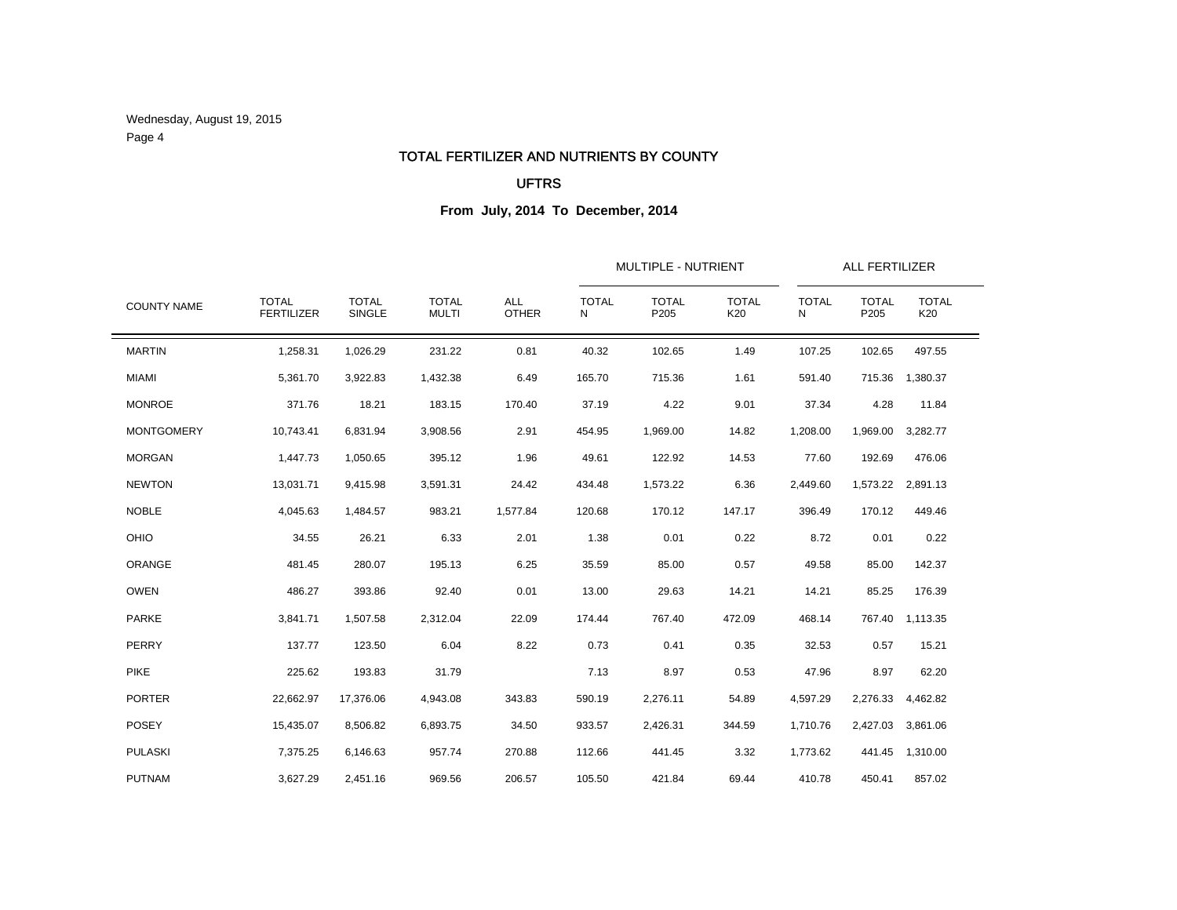Wednesday, August 19, 2015 Page 4

#### TOTAL FERTILIZER AND NUTRIENTS BY COUNTY

### UFTRS

|                    |                                   |                        |                              | <b>ALL</b><br><b>OTHER</b> | <b>MULTIPLE - NUTRIENT</b> | ALL FERTILIZER       |                     |                   |                      |                     |  |
|--------------------|-----------------------------------|------------------------|------------------------------|----------------------------|----------------------------|----------------------|---------------------|-------------------|----------------------|---------------------|--|
| <b>COUNTY NAME</b> | <b>TOTAL</b><br><b>FERTILIZER</b> | <b>TOTAL</b><br>SINGLE | <b>TOTAL</b><br><b>MULTI</b> |                            | <b>TOTAL</b><br>N          | <b>TOTAL</b><br>P205 | <b>TOTAL</b><br>K20 | <b>TOTAL</b><br>N | <b>TOTAL</b><br>P205 | <b>TOTAL</b><br>K20 |  |
| <b>MARTIN</b>      | 1,258.31                          | 1,026.29               | 231.22                       | 0.81                       | 40.32                      | 102.65               | 1.49                | 107.25            | 102.65               | 497.55              |  |
| <b>MIAMI</b>       | 5,361.70                          | 3,922.83               | 1,432.38                     | 6.49                       | 165.70                     | 715.36               | 1.61                | 591.40            | 715.36               | 1,380.37            |  |
| <b>MONROE</b>      | 371.76                            | 18.21                  | 183.15                       | 170.40                     | 37.19                      | 4.22                 | 9.01                | 37.34             | 4.28                 | 11.84               |  |
| <b>MONTGOMERY</b>  | 10,743.41                         | 6,831.94               | 3,908.56                     | 2.91                       | 454.95                     | 1,969.00             | 14.82               | 1,208.00          | 1,969.00             | 3,282.77            |  |
| <b>MORGAN</b>      | 1,447.73                          | 1,050.65               | 395.12                       | 1.96                       | 49.61                      | 122.92               | 14.53               | 77.60             | 192.69               | 476.06              |  |
| <b>NEWTON</b>      | 13,031.71                         | 9,415.98               | 3,591.31                     | 24.42                      | 434.48                     | 1,573.22             | 6.36                | 2,449.60          | 1,573.22             | 2,891.13            |  |
| <b>NOBLE</b>       | 4,045.63                          | 1,484.57               | 983.21                       | 1,577.84                   | 120.68                     | 170.12               | 147.17              | 396.49            | 170.12               | 449.46              |  |
| OHIO               | 34.55                             | 26.21                  | 6.33                         | 2.01                       | 1.38                       | 0.01                 | 0.22                | 8.72              | 0.01                 | 0.22                |  |
| ORANGE             | 481.45                            | 280.07                 | 195.13                       | 6.25                       | 35.59                      | 85.00                | 0.57                | 49.58             | 85.00                | 142.37              |  |
| <b>OWEN</b>        | 486.27                            | 393.86                 | 92.40                        | 0.01                       | 13.00                      | 29.63                | 14.21               | 14.21             | 85.25                | 176.39              |  |
| <b>PARKE</b>       | 3,841.71                          | 1,507.58               | 2,312.04                     | 22.09                      | 174.44                     | 767.40               | 472.09              | 468.14            | 767.40               | 1,113.35            |  |
| <b>PERRY</b>       | 137.77                            | 123.50                 | 6.04                         | 8.22                       | 0.73                       | 0.41                 | 0.35                | 32.53             | 0.57                 | 15.21               |  |
| <b>PIKE</b>        | 225.62                            | 193.83                 | 31.79                        |                            | 7.13                       | 8.97                 | 0.53                | 47.96             | 8.97                 | 62.20               |  |
| <b>PORTER</b>      | 22,662.97                         | 17,376.06              | 4,943.08                     | 343.83                     | 590.19                     | 2,276.11             | 54.89               | 4,597.29          | 2,276.33             | 4,462.82            |  |
| POSEY              | 15,435.07                         | 8,506.82               | 6,893.75                     | 34.50                      | 933.57                     | 2,426.31             | 344.59              | 1,710.76          | 2,427.03             | 3,861.06            |  |
| <b>PULASKI</b>     | 7,375.25                          | 6,146.63               | 957.74                       | 270.88                     | 112.66                     | 441.45               | 3.32                | 1,773.62          | 441.45               | 1,310.00            |  |
| <b>PUTNAM</b>      | 3,627.29                          | 2,451.16               | 969.56                       | 206.57                     | 105.50                     | 421.84               | 69.44               | 410.78            | 450.41               | 857.02              |  |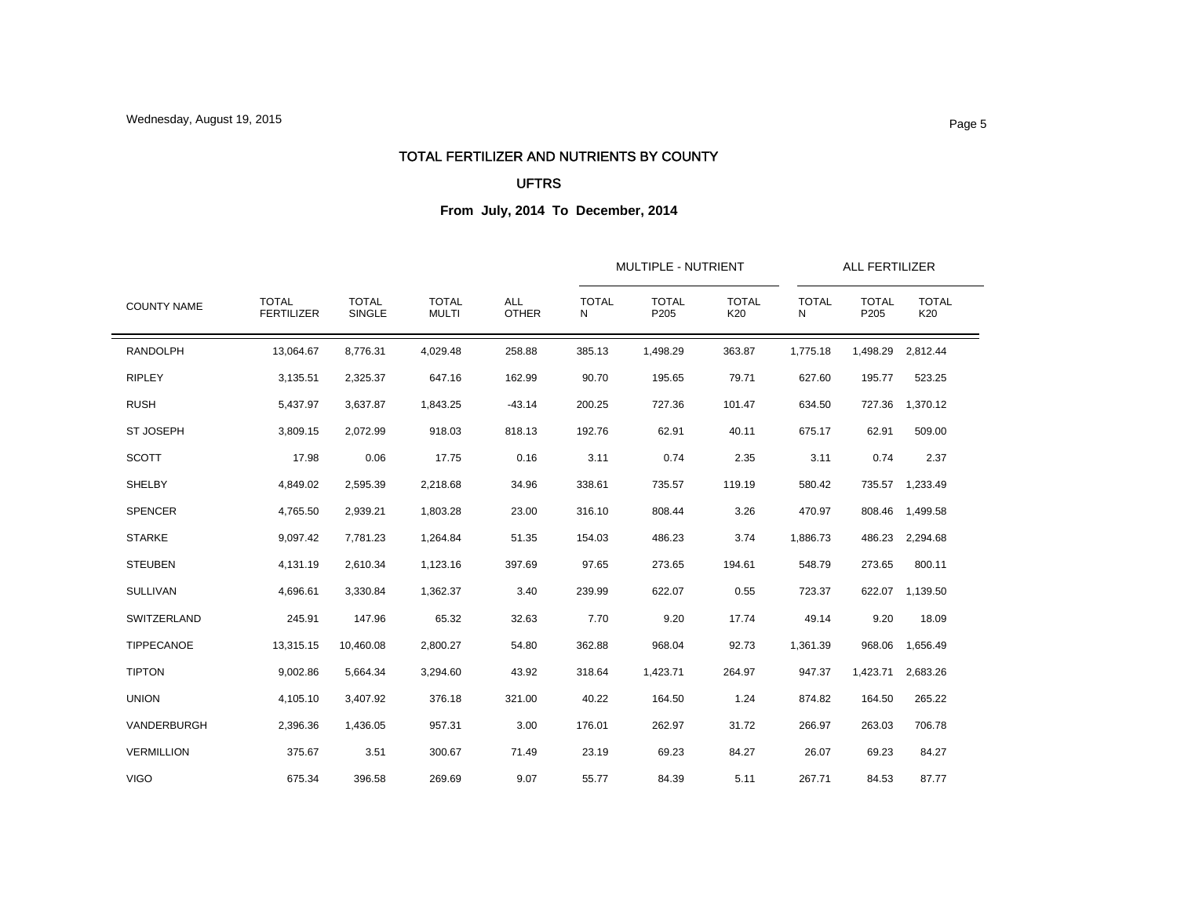#### TOTAL FERTILIZER AND NUTRIENTS BY COUNTY

### UFTRS

| <b>COUNTY NAME</b> |                                   |                        |                              | <b>ALL</b><br><b>OTHER</b> |                   | MULTIPLE - NUTRIENT  |                     | ALL FERTILIZER    |                      |                     |  |
|--------------------|-----------------------------------|------------------------|------------------------------|----------------------------|-------------------|----------------------|---------------------|-------------------|----------------------|---------------------|--|
|                    | <b>TOTAL</b><br><b>FERTILIZER</b> | <b>TOTAL</b><br>SINGLE | <b>TOTAL</b><br><b>MULTI</b> |                            | <b>TOTAL</b><br>N | <b>TOTAL</b><br>P205 | <b>TOTAL</b><br>K20 | <b>TOTAL</b><br>N | <b>TOTAL</b><br>P205 | <b>TOTAL</b><br>K20 |  |
| <b>RANDOLPH</b>    | 13,064.67                         | 8.776.31               | 4.029.48                     | 258.88                     | 385.13            | 1,498.29             | 363.87              | 1,775.18          | 1,498.29             | 2,812.44            |  |
| <b>RIPLEY</b>      | 3,135.51                          | 2,325.37               | 647.16                       | 162.99                     | 90.70             | 195.65               | 79.71               | 627.60            | 195.77               | 523.25              |  |
| <b>RUSH</b>        | 5,437.97                          | 3,637.87               | 1,843.25                     | $-43.14$                   | 200.25            | 727.36               | 101.47              | 634.50            |                      | 727.36 1,370.12     |  |
| <b>ST JOSEPH</b>   | 3,809.15                          | 2,072.99               | 918.03                       | 818.13                     | 192.76            | 62.91                | 40.11               | 675.17            | 62.91                | 509.00              |  |
| <b>SCOTT</b>       | 17.98                             | 0.06                   | 17.75                        | 0.16                       | 3.11              | 0.74                 | 2.35                | 3.11              | 0.74                 | 2.37                |  |
| <b>SHELBY</b>      | 4,849.02                          | 2,595.39               | 2,218.68                     | 34.96                      | 338.61            | 735.57               | 119.19              | 580.42            |                      | 735.57 1,233.49     |  |
| <b>SPENCER</b>     | 4,765.50                          | 2,939.21               | 1,803.28                     | 23.00                      | 316.10            | 808.44               | 3.26                | 470.97            | 808.46               | 1,499.58            |  |
| <b>STARKE</b>      | 9,097.42                          | 7,781.23               | 1,264.84                     | 51.35                      | 154.03            | 486.23               | 3.74                | 1,886.73          | 486.23               | 2,294.68            |  |
| <b>STEUBEN</b>     | 4,131.19                          | 2,610.34               | 1,123.16                     | 397.69                     | 97.65             | 273.65               | 194.61              | 548.79            | 273.65               | 800.11              |  |
| <b>SULLIVAN</b>    | 4,696.61                          | 3,330.84               | 1,362.37                     | 3.40                       | 239.99            | 622.07               | 0.55                | 723.37            |                      | 622.07 1,139.50     |  |
| SWITZERLAND        | 245.91                            | 147.96                 | 65.32                        | 32.63                      | 7.70              | 9.20                 | 17.74               | 49.14             | 9.20                 | 18.09               |  |
| TIPPECANOE         | 13,315.15                         | 10,460.08              | 2,800.27                     | 54.80                      | 362.88            | 968.04               | 92.73               | 1,361.39          | 968.06               | 1,656.49            |  |
| <b>TIPTON</b>      | 9,002.86                          | 5,664.34               | 3,294.60                     | 43.92                      | 318.64            | 1,423.71             | 264.97              | 947.37            | 1,423.71             | 2,683.26            |  |
| <b>UNION</b>       | 4,105.10                          | 3.407.92               | 376.18                       | 321.00                     | 40.22             | 164.50               | 1.24                | 874.82            | 164.50               | 265.22              |  |
| VANDERBURGH        | 2,396.36                          | 1,436.05               | 957.31                       | 3.00                       | 176.01            | 262.97               | 31.72               | 266.97            | 263.03               | 706.78              |  |
| <b>VERMILLION</b>  | 375.67                            | 3.51                   | 300.67                       | 71.49                      | 23.19             | 69.23                | 84.27               | 26.07             | 69.23                | 84.27               |  |
| <b>VIGO</b>        | 675.34                            | 396.58                 | 269.69                       | 9.07                       | 55.77             | 84.39                | 5.11                | 267.71            | 84.53                | 87.77               |  |